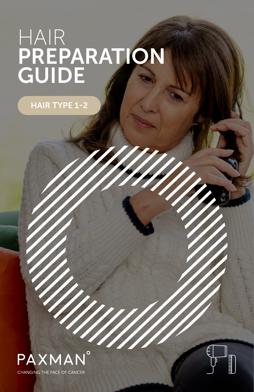# HAIR PREPARATION GUIDE

HAIR TYPE 1-2



**CHANGING THE FACE OF CANCER** 

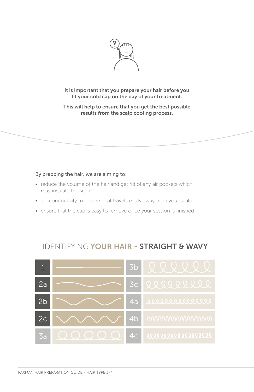

It is important that you prepare your hair before you fit your cold cap on the day of your treatment.

This will help to ensure that you get the best possible results from the scalp cooling process.

#### By prepping the hair, we are aiming to:

- reduce the volume of the hair and get rid of any air pockets which may insulate the scalp
- aid conductivity to ensure heat travels easily away from your scalp
- ensure that the cap is easy to remove once your session is finished

### IDENTIFYING YOUR HAIR - STRAIGHT & WAVY

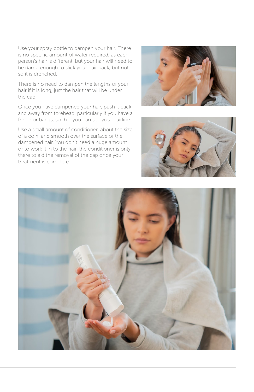Use your spray bottle to dampen your hair. There is no specific amount of water required, as each person's hair is different, but your hair will need to be damp enough to slick your hair back, but not so it is drenched.

There is no need to dampen the lengths of your hair if it is long, just the hair that will be under the cap.

Once you have dampened your hair, push it back and away from forehead, particularly if you have a fringe or bangs, so that you can see your hairline.

Use a small amount of conditioner, about the size of a coin, and smooth over the surface of the dampened hair. You don't need a huge amount or to work it in to the hair, the conditioner is only there to aid the removal of the cap once your treatment is complete.